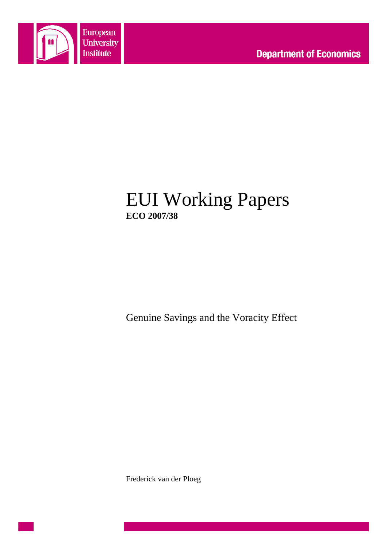

# EUI Working Papers **ECO 2007/38**

Genuine Savings and the Voracity Effect

Frederick van der Ploeg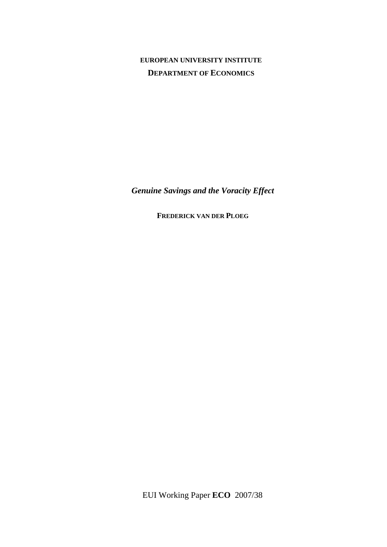## **EUROPEAN UNIVERSITY INSTITUTE DEPARTMENT OF ECONOMICS**

*Genuine Savings and the Voracity Effect* 

**FREDERICK VAN DER PLOEG** 

EUI Working Paper **ECO** 2007/38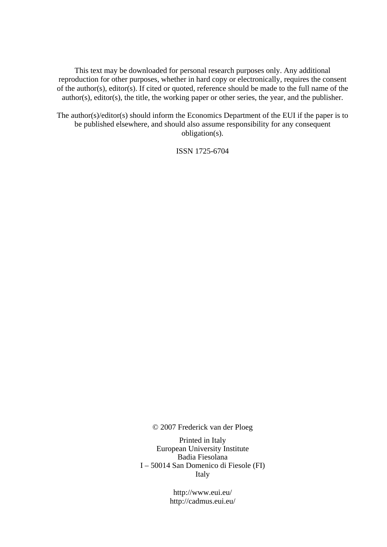This text may be downloaded for personal research purposes only. Any additional reproduction for other purposes, whether in hard copy or electronically, requires the consent of the author(s), editor(s). If cited or quoted, reference should be made to the full name of the author(s), editor(s), the title, the working paper or other series, the year, and the publisher.

The author(s)/editor(s) should inform the Economics Department of the EUI if the paper is to be published elsewhere, and should also assume responsibility for any consequent obligation(s).

ISSN 1725-6704

© 2007 Frederick van der Ploeg

Printed in Italy European University Institute Badia Fiesolana I – 50014 San Domenico di Fiesole (FI) Italy

> http://www.eui.eu/ http://cadmus.eui.eu/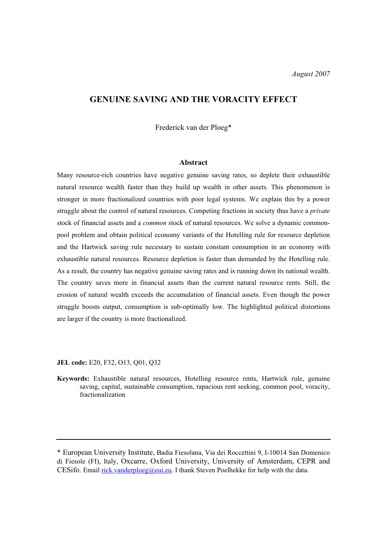### **GENUINE SAVING AND THE VORACITY EFFECT**

Frederick van der Ploeg\*

#### **Abstract**

Many resource-rich countries have negative genuine saving rates, so deplete their exhaustible natural resource wealth faster than they build up wealth in other assets. This phenomenon is stronger in more fractionalized countries with poor legal systems. We explain this by a power struggle about the control of natural resources. Competing fractions in society thus have a *private* stock of financial assets and a *common* stock of natural resources. We solve a dynamic commonpool problem and obtain political economy variants of the Hotelling rule for resource depletion and the Hartwick saving rule necessary to sustain constant consumption in an economy with exhaustible natural resources. Resource depletion is faster than demanded by the Hotelling rule. As a result, the country has negative genuine saving rates and is running down its national wealth. The country saves more in financial assets than the current natural resource rents. Still, the erosion of natural wealth exceeds the accumulation of financial assets. Even though the power struggle boosts output, consumption is sub-optimally low. The highlighted political distortions are larger if the country is more fractionalized.

**JEL code:** E20, F32, O13, Q01, Q32

**Keywords:** Exhaustible natural resources, Hotelling resource rents, Hartwick rule, genuine saving, capital, sustainable consumption, rapacious rent seeking, common pool, voracity, fractionalization

<sup>\*</sup> European University Institute, Badia Fiesolana, Via dei Roccettini 9, I-10014 San Domenico di Fiesole (FI), Italy, Oxcarre, Oxford University, University of Amsterdam, CEPR and CESifo. Email rick.vanderploeg@eui.eu. I thank Steven Poelhekke for help with the data.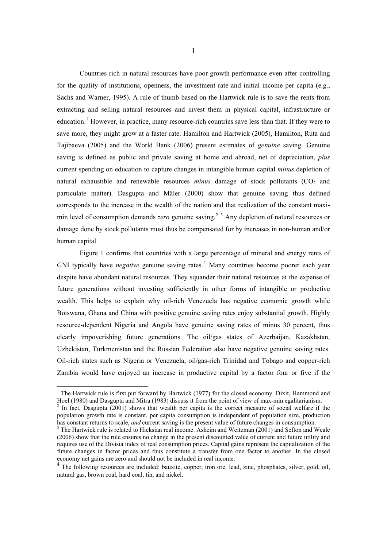Countries rich in natural resources have poor growth performance even after controlling for the quality of institutions, openness, the investment rate and initial income per capita (e.g., Sachs and Warner, 1995). A rule of thumb based on the Hartwick rule is to save the rents from extracting and selling natural resources and invest them in physical capital, infrastructure or education.<sup>1</sup> However, in practice, many resource-rich countries save less than that. If they were to save more, they might grow at a faster rate. Hamilton and Hartwick (2005), Hamilton, Ruta and Tajibaeva (2005) and the World Bank (2006) present estimates of *genuine* saving. Genuine saving is defined as public and private saving at home and abroad, net of depreciation, *plus* current spending on education to capture changes in intangible human capital *minus* depletion of natural exhaustible and renewable resources *minus* damage of stock pollutants  $(CO_2)$  and particulate matter). Dasgupta and Mäler (2000) show that genuine saving thus defined corresponds to the increase in the wealth of the nation and that realization of the constant maximin level of consumption demands *zero* genuine saving.<sup>2</sup> <sup>3</sup> Any depletion of natural resources or damage done by stock pollutants must thus be compensated for by increases in non-human and/or human capital.

Figure 1 confirms that countries with a large percentage of mineral and energy rents of GNI typically have *negative* genuine saving rates.<sup>4</sup> Many countries become poorer each year despite have abundant natural resources. They squander their natural resources at the expense of future generations without investing sufficiently in other forms of intangible or productive wealth. This helps to explain why oil-rich Venezuela has negative economic growth while Botswana, Ghana and China with positive genuine saving rates enjoy substantial growth. Highly resource-dependent Nigeria and Angola have genuine saving rates of minus 30 percent, thus clearly impoverishing future generations. The oil/gas states of Azerbaijan, Kazakhstan, Uzbekistan, Turkmenistan and the Russian Federation also have negative genuine saving rates. Oil-rich states such as Nigeria or Venezuela, oil/gas-rich Trinidad and Tobago and copper-rich Zambia would have enjoyed an increase in productive capital by a factor four or five if the

<sup>&</sup>lt;sup>1</sup> The Hartwick rule is first put forward by Hartwick (1977) for the closed economy. Dixit, Hammond and Hoel (1980) and Dasgupta and Mitra (1983) discuss it from the point of view of max-min egalitarianism. 2

 $2$  In fact, Dasgupta (2001) shows that wealth per capita is the correct measure of social welfare if the population growth rate is constant, per capita consumption is independent of population size, production has constant returns to scale, *and* current saving is the present value of future changes in consumption.

<sup>&</sup>lt;sup>3</sup> The Hartwick rule is related to Hicksian real income. Asheim and Weitzman (2001) and Sefton and Weale (2006) show that the rule ensures no change in the present discounted value of current and future utility and requires use of the Divisia index of real consumption prices. Capital gains represent the capitalization of the future changes in factor prices and thus constitute a transfer from one factor to another. In the closed economy net gains are zero and should not be included in real income.

<sup>&</sup>lt;sup>4</sup> The following resources are included: bauxite, copper, iron ore, lead, zinc, phosphates, silver, gold, oil, natural gas, brown coal, hard coal, tin, and nickel.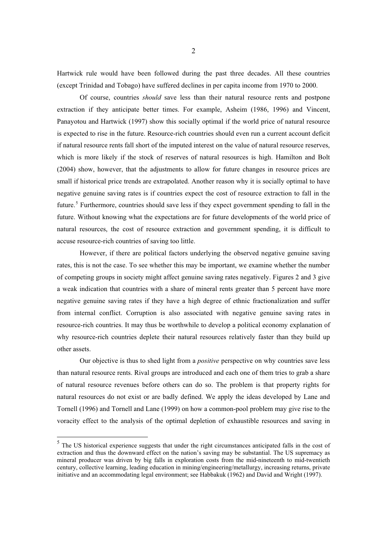Hartwick rule would have been followed during the past three decades. All these countries (except Trinidad and Tobago) have suffered declines in per capita income from 1970 to 2000.

Of course, countries *should* save less than their natural resource rents and postpone extraction if they anticipate better times. For example, Asheim (1986, 1996) and Vincent, Panayotou and Hartwick (1997) show this socially optimal if the world price of natural resource is expected to rise in the future. Resource-rich countries should even run a current account deficit if natural resource rents fall short of the imputed interest on the value of natural resource reserves, which is more likely if the stock of reserves of natural resources is high. Hamilton and Bolt (2004) show, however, that the adjustments to allow for future changes in resource prices are small if historical price trends are extrapolated. Another reason why it is socially optimal to have negative genuine saving rates is if countries expect the cost of resource extraction to fall in the future.<sup>5</sup> Furthermore, countries should save less if they expect government spending to fall in the future. Without knowing what the expectations are for future developments of the world price of natural resources, the cost of resource extraction and government spending, it is difficult to accuse resource-rich countries of saving too little.

However, if there are political factors underlying the observed negative genuine saving rates, this is not the case. To see whether this may be important, we examine whether the number of competing groups in society might affect genuine saving rates negatively. Figures 2 and 3 give a weak indication that countries with a share of mineral rents greater than 5 percent have more negative genuine saving rates if they have a high degree of ethnic fractionalization and suffer from internal conflict. Corruption is also associated with negative genuine saving rates in resource-rich countries. It may thus be worthwhile to develop a political economy explanation of why resource-rich countries deplete their natural resources relatively faster than they build up other assets.

Our objective is thus to shed light from a *positive* perspective on why countries save less than natural resource rents. Rival groups are introduced and each one of them tries to grab a share of natural resource revenues before others can do so. The problem is that property rights for natural resources do not exist or are badly defined. We apply the ideas developed by Lane and Tornell (1996) and Tornell and Lane (1999) on how a common-pool problem may give rise to the voracity effect to the analysis of the optimal depletion of exhaustible resources and saving in

<sup>&</sup>lt;sup>5</sup> The US historical experience suggests that under the right circumstances anticipated falls in the cost of extraction and thus the downward effect on the nation's saving may be substantial. The US supremacy as mineral producer was driven by big falls in exploration costs from the mid-nineteenth to mid-twentieth century, collective learning, leading education in mining/engineering/metallurgy, increasing returns, private initiative and an accommodating legal environment; see Habbakuk (1962) and David and Wright (1997).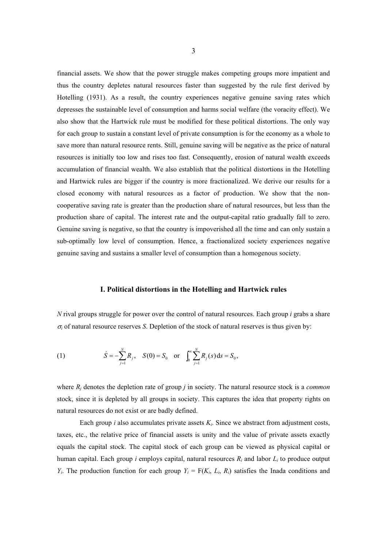financial assets. We show that the power struggle makes competing groups more impatient and thus the country depletes natural resources faster than suggested by the rule first derived by Hotelling (1931). As a result, the country experiences negative genuine saving rates which depresses the sustainable level of consumption and harms social welfare (the voracity effect). We also show that the Hartwick rule must be modified for these political distortions. The only way for each group to sustain a constant level of private consumption is for the economy as a whole to save more than natural resource rents. Still, genuine saving will be negative as the price of natural resources is initially too low and rises too fast. Consequently, erosion of natural wealth exceeds accumulation of financial wealth. We also establish that the political distortions in the Hotelling and Hartwick rules are bigger if the country is more fractionalized. We derive our results for a closed economy with natural resources as a factor of production. We show that the noncooperative saving rate is greater than the production share of natural resources, but less than the production share of capital. The interest rate and the output-capital ratio gradually fall to zero. Genuine saving is negative, so that the country is impoverished all the time and can only sustain a sub-optimally low level of consumption. Hence, a fractionalized society experiences negative genuine saving and sustains a smaller level of consumption than a homogenous society.

#### **I. Political distortions in the Hotelling and Hartwick rules**

*N* rival groups struggle for power over the control of natural resources. Each group *i* grabs a share  $\sigma_i$  of natural resource reserves *S*. Depletion of the stock of natural reserves is thus given by:

(1) 
$$
\dot{S} = -\sum_{j=1}^{N} R_j
$$
,  $S(0) = S_0$  or  $\int_0^{\infty} \sum_{j=1}^{N} R_j(s) ds = S_0$ ,

where *Rj* denotes the depletion rate of group *j* in society. The natural resource stock is a *common* stock, since it is depleted by all groups in society. This captures the idea that property rights on natural resources do not exist or are badly defined.

Each group  $i$  also accumulates private assets  $K_i$ . Since we abstract from adjustment costs, taxes, etc., the relative price of financial assets is unity and the value of private assets exactly equals the capital stock. The capital stock of each group can be viewed as physical capital or human capital. Each group *i* employs capital, natural resources *Ri* and labor *Li* to produce output *Y<sub>i</sub>*. The production function for each group  $Y_i = F(K_i, L_i, R_i)$  satisfies the Inada conditions and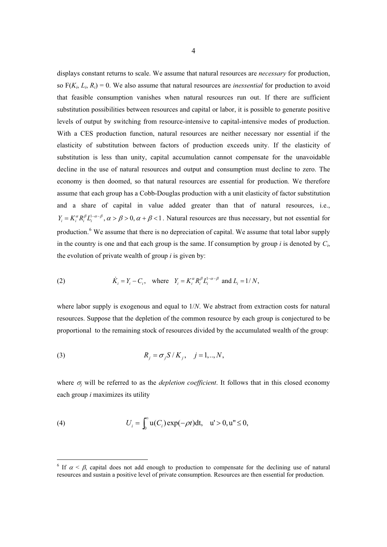displays constant returns to scale. We assume that natural resources are *necessary* for production, so  $F(K_i, L_i, R_i) = 0$ . We also assume that natural resources are *inessential* for production to avoid that feasible consumption vanishes when natural resources run out. If there are sufficient substitution possibilities between resources and capital or labor, it is possible to generate positive levels of output by switching from resource-intensive to capital-intensive modes of production. With a CES production function, natural resources are neither necessary nor essential if the elasticity of substitution between factors of production exceeds unity. If the elasticity of substitution is less than unity, capital accumulation cannot compensate for the unavoidable decline in the use of natural resources and output and consumption must decline to zero. The economy is then doomed, so that natural resources are essential for production. We therefore assume that each group has a Cobb-Douglas production with a unit elasticity of factor substitution and a share of capital in value added greater than that of natural resources, i.e.,  $Y_i = K_i^{\alpha} R_i^{\beta} L_i^{1-\alpha-\beta}, \alpha > \beta > 0, \alpha + \beta < 1$ . Natural resources are thus necessary, but not essential for production.<sup>6</sup> We assume that there is no depreciation of capital. We assume that total labor supply in the country is one and that each group is the same. If consumption by group *i* is denoted by  $C_i$ , the evolution of private wealth of group *i* is given by:

(2) 
$$
\dot{K}_i = Y_i - C_i, \text{ where } Y_i = K_i^{\alpha} R_i^{\beta} L_i^{1-\alpha-\beta} \text{ and } L_i = 1/N,
$$

where labor supply is exogenous and equal to 1/*N*. We abstract from extraction costs for natural resources. Suppose that the depletion of the common resource by each group is conjectured to be proportional to the remaining stock of resources divided by the accumulated wealth of the group:

(3) 
$$
R_j = \sigma_j S / K_j, \quad j = 1, ..., N,
$$

where  $\sigma_i$  will be referred to as the *depletion coefficient*. It follows that in this closed economy each group *i* maximizes its utility

(4) 
$$
U_i = \int_0^{\infty} u(C_i) \exp(-\rho t) dt, \quad u' > 0, u'' \le 0,
$$

<sup>&</sup>lt;sup>6</sup> If  $\alpha < \beta$ , capital does not add enough to production to compensate for the declining use of natural resources and sustain a positive level of private consumption. Resources are then essential for production.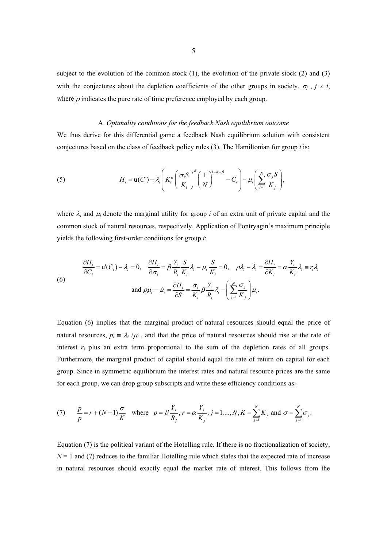subject to the evolution of the common stock  $(1)$ , the evolution of the private stock  $(2)$  and  $(3)$ with the conjectures about the depletion coefficients of the other groups in society,  $\sigma_j$ ,  $j \neq i$ , where  $\rho$  indicates the pure rate of time preference employed by each group.

#### A. *Optimality conditions for the feedback Nash equilibrium outcome*

We thus derive for this differential game a feedback Nash equilibrium solution with consistent conjectures based on the class of feedback policy rules (3). The Hamiltonian for group *i* is:

(5) 
$$
H_i \equiv \mathsf{u}(C_i) + \lambda_i \left( K_i^{\alpha} \left( \frac{\sigma_i S}{K_i} \right)^{\beta} \left( \frac{1}{N} \right)^{1-\alpha-\beta} - C_i \right) - \mu_i \left( \sum_{j=1}^N \frac{\sigma_j S}{K_j} \right),
$$

where  $\lambda_i$  and  $\mu_i$  denote the marginal utility for group *i* of an extra unit of private capital and the common stock of natural resources, respectively. Application of Pontryagin's maximum principle yields the following first-order conditions for group *i*:

(6)  
\n
$$
\frac{\partial H_i}{\partial C_i} = \mathbf{u}'(C_i) - \lambda_i = 0, \quad \frac{\partial H_i}{\partial \sigma_i} = \beta \frac{Y_i}{R_i} \frac{S}{K_i} \lambda_i - \mu_i \frac{S}{K_i} = 0, \quad \rho \lambda_i - \lambda_i = \frac{\partial H_i}{\partial K_i} = \alpha \frac{Y_i}{K_i} \lambda_i = r_i \lambda_i
$$
\n
$$
\text{and } \rho \mu_i - \mu_i = \frac{\partial H_i}{\partial S} = \frac{\sigma_i}{K_i} \beta \frac{Y_i}{R_i} \lambda_i - \left(\sum_{j=1}^N \frac{\sigma_j}{K_j}\right) \mu_i.
$$

Equation (6) implies that the marginal product of natural resources should equal the price of natural resources,  $p_i \equiv \lambda_i / \mu_i$ , and that the price of natural resources should rise at the rate of interest *ri* plus an extra term proportional to the sum of the depletion rates of all groups. Furthermore, the marginal product of capital should equal the rate of return on capital for each group. Since in symmetric equilibrium the interest rates and natural resource prices are the same for each group, we can drop group subscripts and write these efficiency conditions as:

(7) 
$$
\frac{\dot{p}}{p} = r + (N-1)\frac{\sigma}{K} \text{ where } p = \beta \frac{Y_j}{R_j}, r = \alpha \frac{Y_j}{K_j}, j = 1,..., N, K \equiv \sum_{j=1}^{N} K_j \text{ and } \sigma \equiv \sum_{j=1}^{N} \sigma_j.
$$

Equation (7) is the political variant of the Hotelling rule. If there is no fractionalization of society,  $N = 1$  and (7) reduces to the familiar Hotelling rule which states that the expected rate of increase in natural resources should exactly equal the market rate of interest. This follows from the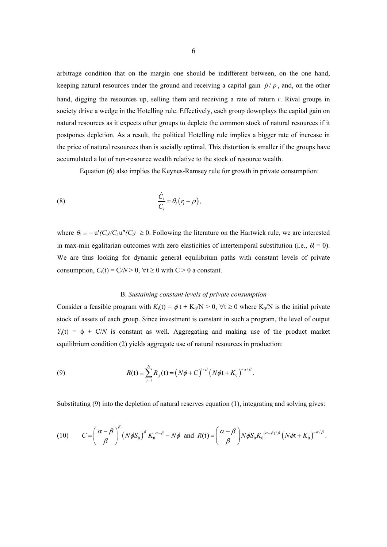arbitrage condition that on the margin one should be indifferent between, on the one hand, keeping natural resources under the ground and receiving a capital gain  $\dot{p}/p$ , and, on the other hand, digging the resources up, selling them and receiving a rate of return *r*. Rival groups in society drive a wedge in the Hotelling rule. Effectively, each group downplays the capital gain on natural resources as it expects other groups to deplete the common stock of natural resources if it postpones depletion. As a result, the political Hotelling rule implies a bigger rate of increase in the price of natural resources than is socially optimal. This distortion is smaller if the groups have accumulated a lot of non-resource wealth relative to the stock of resource wealth.

Equation (6) also implies the Keynes-Ramsey rule for growth in private consumption:

(8) 
$$
\frac{\dot{C}_i}{C_i} = \theta_i (r_i - \rho),
$$

where  $\theta_i = -\frac{u'(C_i)}{C_i}$  u''(C<sub>i</sub>)  $\geq 0$ . Following the literature on the Hartwick rule, we are interested in max-min egalitarian outcomes with zero elasticities of intertemporal substitution (i.e.,  $\theta_i = 0$ ). We are thus looking for dynamic general equilibrium paths with constant levels of private consumption,  $C_i(t) = C/N > 0$ ,  $\forall t \ge 0$  with  $C > 0$  a constant.

#### B. *Sustaining constant levels of private consumption*

Consider a feasible program with  $K_i(t) = \phi t + K_0/N > 0$ ,  $\forall t \ge 0$  where  $K_0/N$  is the initial private stock of assets of each group. Since investment is constant in such a program, the level of output  $Y_i(t) = \phi + C/N$  is constant as well. Aggregating and making use of the product market equilibrium condition (2) yields aggregate use of natural resources in production:

(9) 
$$
R(t) = \sum_{j=1}^{N} R_j(t) = (N\phi + C)^{1/\beta} (N\phi t + K_0)^{-\alpha/\beta}.
$$

Substituting (9) into the depletion of natural reserves equation (1), integrating and solving gives:

(10) 
$$
C = \left(\frac{\alpha - \beta}{\beta}\right)^{\beta} \left(N\phi S_0\right)^{\beta} K_0^{\alpha - \beta} - N\phi \text{ and } R(t) = \left(\frac{\alpha - \beta}{\beta}\right) N\phi S_0 K_0^{(\alpha - \beta)/\beta} \left(N\phi t + K_0\right)^{-\alpha/\beta}.
$$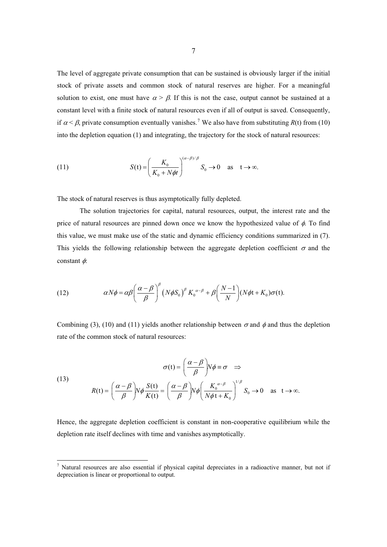The level of aggregate private consumption that can be sustained is obviously larger if the initial stock of private assets and common stock of natural reserves are higher. For a meaningful solution to exist, one must have  $\alpha > \beta$ . If this is not the case, output cannot be sustained at a constant level with a finite stock of natural resources even if all of output is saved. Consequently, if  $\alpha < \beta$ , private consumption eventually vanishes.<sup>7</sup> We also have from substituting *R*(t) from (10) into the depletion equation (1) and integrating, the trajectory for the stock of natural resources:

(11) 
$$
S(t) = \left(\frac{K_0}{K_0 + N\phi t}\right)^{(\alpha - \beta)/\beta} S_0 \to 0 \quad \text{as} \quad t \to \infty.
$$

The stock of natural reserves is thus asymptotically fully depleted.

 The solution trajectories for capital, natural resources, output, the interest rate and the price of natural resources are pinned down once we know the hypothesized value of  $\phi$ . To find this value, we must make use of the static and dynamic efficiency conditions summarized in (7). This yields the following relationship between the aggregate depletion coefficient  $\sigma$  and the constant  $\phi$ :

(12) 
$$
\alpha N\phi = \alpha \beta \left(\frac{\alpha - \beta}{\beta}\right)^{\beta} \left(N\phi S_0\right)^{\beta} K_0^{\alpha - \beta} + \beta \left(\frac{N - 1}{N}\right) (N\phi t + K_0) \sigma(t).
$$

Combining (3), (10) and (11) yields another relationship between  $\sigma$  and  $\phi$  and thus the depletion rate of the common stock of natural resources:

(13)  

$$
\sigma(t) = \left(\frac{\alpha - \beta}{\beta}\right) N\phi \equiv \sigma \implies
$$

$$
R(t) = \left(\frac{\alpha - \beta}{\beta}\right) N\phi \frac{S(t)}{K(t)} = \left(\frac{\alpha - \beta}{\beta}\right) N\phi \left(\frac{K_0^{\alpha - \beta}}{N\phi t + K_0}\right)^{1/\beta} S_0 \to 0 \text{ as } t \to \infty.
$$

Hence, the aggregate depletion coefficient is constant in non-cooperative equilibrium while the depletion rate itself declines with time and vanishes asymptotically.

<sup>&</sup>lt;sup>7</sup> Natural resources are also essential if physical capital depreciates in a radioactive manner, but not if depreciation is linear or proportional to output.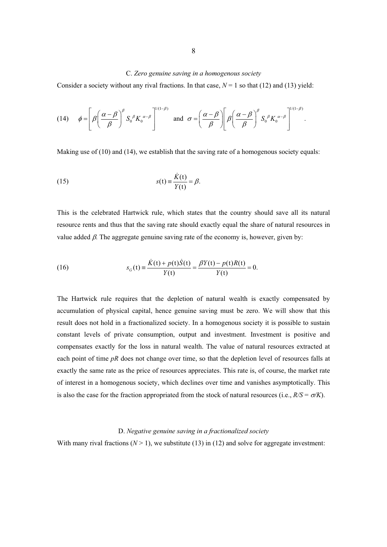#### C. *Zero genuine saving in a homogenous society*

Consider a society without any rival fractions. In that case,  $N = 1$  so that (12) and (13) yield:

(14) 
$$
\phi = \left[\beta \left(\frac{\alpha - \beta}{\beta}\right)^{\beta} S_0^{\beta} K_0^{\alpha - \beta}\right]^{1/(1-\beta)} \text{ and } \sigma = \left(\frac{\alpha - \beta}{\beta}\right)\left[\beta \left(\frac{\alpha - \beta}{\beta}\right)^{\beta} S_0^{\beta} K_0^{\alpha - \beta}\right]^{1/(1-\beta)}.
$$

Making use of (10) and (14), we establish that the saving rate of a homogenous society equals:

(15) 
$$
s(t) = \frac{\dot{K}(t)}{Y(t)} = \beta.
$$

This is the celebrated Hartwick rule, which states that the country should save all its natural resource rents and thus that the saving rate should exactly equal the share of natural resources in value added  $\beta$ . The aggregate genuine saving rate of the economy is, however, given by:

(16) 
$$
s_G(t) = \frac{\dot{K}(t) + p(t)\dot{S}(t)}{Y(t)} = \frac{\beta Y(t) - p(t)R(t)}{Y(t)} = 0.
$$

The Hartwick rule requires that the depletion of natural wealth is exactly compensated by accumulation of physical capital, hence genuine saving must be zero. We will show that this result does not hold in a fractionalized society. In a homogenous society it is possible to sustain constant levels of private consumption, output and investment. Investment is positive and compensates exactly for the loss in natural wealth. The value of natural resources extracted at each point of time *pR* does not change over time, so that the depletion level of resources falls at exactly the same rate as the price of resources appreciates. This rate is, of course, the market rate of interest in a homogenous society, which declines over time and vanishes asymptotically. This is also the case for the fraction appropriated from the stock of natural resources (i.e.,  $R/S = \sigma/K$ ).

#### D. *Negative genuine saving in a fractionalized society*

With many rival fractions  $(N > 1)$ , we substitute (13) in (12) and solve for aggregate investment: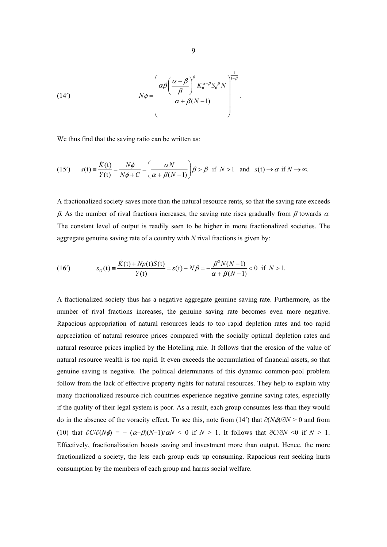(14') 
$$
N\phi = \left(\frac{\alpha\beta \left(\frac{\alpha-\beta}{\beta}\right)^{\beta} K_0^{\alpha-\beta} S_0^{\beta} N}{\alpha+\beta(N-1)}\right)^{\frac{1}{1-\beta}}.
$$

We thus find that the saving ratio can be written as:

(15') 
$$
s(t) = \frac{\dot{K}(t)}{Y(t)} = \frac{N\phi}{N\phi + C} = \left(\frac{\alpha N}{\alpha + \beta(N-1)}\right)\beta > \beta \text{ if } N > 1 \text{ and } s(t) \to \alpha \text{ if } N \to \infty.
$$

A fractionalized society saves more than the natural resource rents, so that the saving rate exceeds  $\beta$ . As the number of rival fractions increases, the saving rate rises gradually from  $\beta$  towards  $\alpha$ . The constant level of output is readily seen to be higher in more fractionalized societies. The aggregate genuine saving rate of a country with *N* rival fractions is given by:

(16') 
$$
s_G(t) = \frac{\dot{K}(t) + Np(t)\dot{S}(t)}{Y(t)} = s(t) - N\beta = -\frac{\beta^2 N(N-1)}{\alpha + \beta(N-1)} < 0 \text{ if } N > 1.
$$

A fractionalized society thus has a negative aggregate genuine saving rate. Furthermore, as the number of rival fractions increases, the genuine saving rate becomes even more negative. Rapacious appropriation of natural resources leads to too rapid depletion rates and too rapid appreciation of natural resource prices compared with the socially optimal depletion rates and natural resource prices implied by the Hotelling rule. It follows that the erosion of the value of natural resource wealth is too rapid. It even exceeds the accumulation of financial assets, so that genuine saving is negative. The political determinants of this dynamic common-pool problem follow from the lack of effective property rights for natural resources. They help to explain why many fractionalized resource-rich countries experience negative genuine saving rates, especially if the quality of their legal system is poor. As a result, each group consumes less than they would do in the absence of the voracity effect. To see this, note from (14') that  $\partial (N\phi)/\partial N > 0$  and from (10) that  $\partial C/\partial (N\phi) = -(\alpha-\beta)(N-1)/\alpha N < 0$  if  $N > 1$ . It follows that  $\partial C/\partial N < 0$  if  $N > 1$ . Effectively, fractionalization boosts saving and investment more than output. Hence, the more fractionalized a society, the less each group ends up consuming. Rapacious rent seeking hurts consumption by the members of each group and harms social welfare.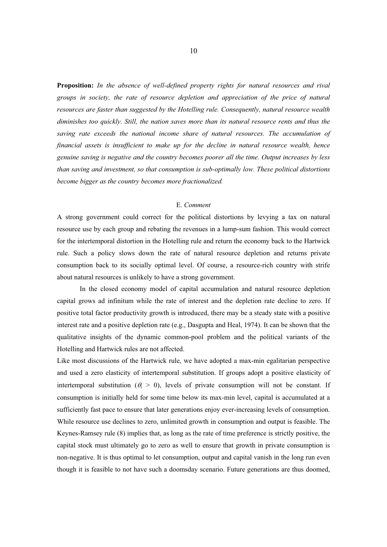**Proposition:** *In the absence of well-defined property rights for natural resources and rival groups in society, the rate of resource depletion and appreciation of the price of natural resources are faster than suggested by the Hotelling rule. Consequently, natural resource wealth diminishes too quickly. Still, the nation saves more than its natural resource rents and thus the saving rate exceeds the national income share of natural resources. The accumulation of financial assets is insufficient to make up for the decline in natural resource wealth, hence genuine saving is negative and the country becomes poorer all the time. Output increases by less than saving and investment, so that consumption is sub-optimally low. These political distortions become bigger as the country becomes more fractionalized.* 

#### E. *Comment*

A strong government could correct for the political distortions by levying a tax on natural resource use by each group and rebating the revenues in a lump-sum fashion. This would correct for the intertemporal distortion in the Hotelling rule and return the economy back to the Hartwick rule. Such a policy slows down the rate of natural resource depletion and returns private consumption back to its socially optimal level. Of course, a resource-rich country with strife about natural resources is unlikely to have a strong government.

In the closed economy model of capital accumulation and natural resource depletion capital grows ad infinitum while the rate of interest and the depletion rate decline to zero. If positive total factor productivity growth is introduced, there may be a steady state with a positive interest rate and a positive depletion rate (e.g., Dasgupta and Heal, 1974). It can be shown that the qualitative insights of the dynamic common-pool problem and the political variants of the Hotelling and Hartwick rules are not affected.

Like most discussions of the Hartwick rule, we have adopted a max-min egalitarian perspective and used a zero elasticity of intertemporal substitution. If groups adopt a positive elasticity of intertemporal substitution ( $\theta$ <sup>2</sup> = 0), levels of private consumption will not be constant. If consumption is initially held for some time below its max-min level, capital is accumulated at a sufficiently fast pace to ensure that later generations enjoy ever-increasing levels of consumption. While resource use declines to zero, unlimited growth in consumption and output is feasible. The Keynes-Ramsey rule (8) implies that, as long as the rate of time preference is strictly positive, the capital stock must ultimately go to zero as well to ensure that growth in private consumption is non-negative. It is thus optimal to let consumption, output and capital vanish in the long run even though it is feasible to not have such a doomsday scenario. Future generations are thus doomed,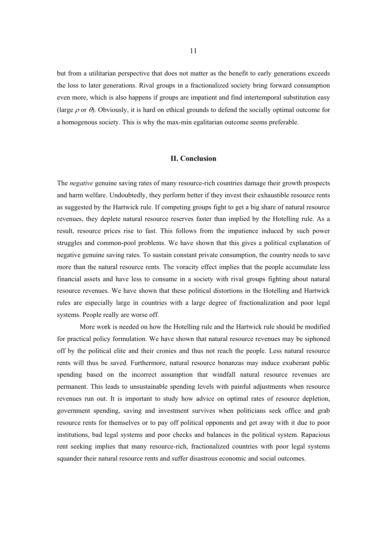but from a utilitarian perspective that does not matter as the benefit to early generations exceeds the loss to later generations. Rival groups in a fractionalized society bring forward consumption even more, which is also happens if groups are impatient and find intertemporal substitution easy (large  $\rho$  or  $\theta$ ). Obviously, it is hard on ethical grounds to defend the socially optimal outcome for a homogenous society. This is why the max-min egalitarian outcome seems preferable.

#### **II. Conclusion**

The *negative* genuine saving rates of many resource-rich countries damage their growth prospects and harm welfare. Undoubtedly, they perform better if they invest their exhaustible resource rents as suggested by the Hartwick rule. If competing groups fight to get a big share of natural resource revenues, they deplete natural resource reserves faster than implied by the Hotelling rule. As a result, resource prices rise to fast. This follows from the impatience induced by such power struggles and common-pool problems. We have shown that this gives a political explanation of negative genuine saving rates. To sustain constant private consumption, the country needs to save more than the natural resource rents. The voracity effect implies that the people accumulate less financial assets and have less to consume in a society with rival groups fighting about natural resource revenues. We have shown that these political distortions in the Hotelling and Hartwick rules are especially large in countries with a large degree of fractionalization and poor legal systems. People really are worse off.

More work is needed on how the Hotelling rule and the Hartwick rule should be modified for practical policy formulation. We have shown that natural resource revenues may be siphoned off by the political elite and their cronies and thus not reach the people. Less natural resource rents will thus be saved. Furthermore, natural resource bonanzas may induce exuberant public spending based on the incorrect assumption that windfall natural resource revenues are permanent. This leads to unsustainable spending levels with painful adjustments when resource revenues run out. It is important to study how advice on optimal rates of resource depletion, government spending, saving and investment survives when politicians seek office and grab resource rents for themselves or to pay off political opponents and get away with it due to poor institutions, bad legal systems and poor checks and balances in the political system. Rapacious rent seeking implies that many resource-rich, fractionalized countries with poor legal systems squander their natural resource rents and suffer disastrous economic and social outcomes.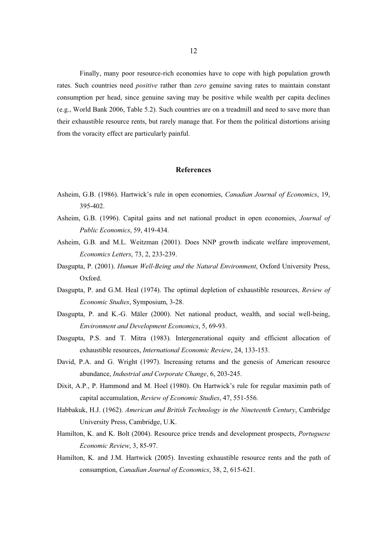Finally, many poor resource-rich economies have to cope with high population growth rates. Such countries need *positive* rather than *zero* genuine saving rates to maintain constant consumption per head, since genuine saving may be positive while wealth per capita declines (e.g., World Bank 2006, Table 5.2). Such countries are on a treadmill and need to save more than their exhaustible resource rents, but rarely manage that. For them the political distortions arising from the voracity effect are particularly painful.

#### **References**

- Asheim, G.B. (1986). Hartwick's rule in open economies, *Canadian Journal of Economics*, 19, 395-402.
- Asheim, G.B. (1996). Capital gains and net national product in open economies, *Journal of Public Economics*, 59, 419-434.
- Asheim, G.B. and M.L. Weitzman (2001). Does NNP growth indicate welfare improvement, *Economics Letters*, 73, 2, 233-239.
- Dasgupta, P. (2001). *Human Well-Being and the Natural Environment*, Oxford University Press, Oxford.
- Dasgupta, P. and G.M. Heal (1974). The optimal depletion of exhaustible resources, *Review of Economic Studies*, Symposium, 3-28.
- Dasgupta, P. and K.-G. Mäler (2000). Net national product, wealth, and social well-being, *Environment and Development Economics*, 5, 69-93.
- Dasgupta, P.S. and T. Mitra (1983). Intergenerational equity and efficient allocation of exhaustible resources, *International Economic Review*, 24, 133-153.
- David, P.A. and G. Wright (1997). Increasing returns and the genesis of American resource abundance, *Industrial and Corporate Change*, 6, 203-245.
- Dixit, A.P., P. Hammond and M. Hoel (1980). On Hartwick's rule for regular maximin path of capital accumulation, *Review of Economic Studies*, 47, 551-556.
- Habbakuk, H.J. (1962). *American and British Technology in the Nineteenth Century*, Cambridge University Press, Cambridge, U.K.
- Hamilton, K. and K. Bolt (2004). Resource price trends and development prospects, *Portuguese Economic Review*, 3, 85-97.
- Hamilton, K. and J.M. Hartwick (2005). Investing exhaustible resource rents and the path of consumption, *Canadian Journal of Economics*, 38, 2, 615-621.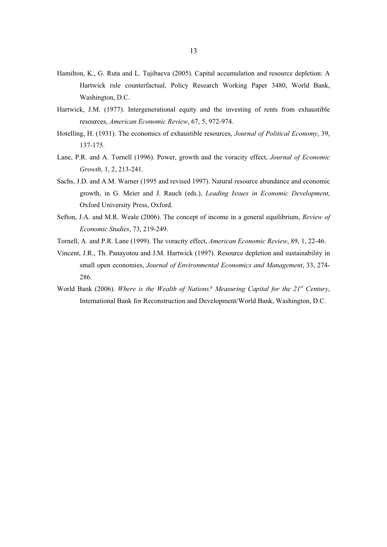- Hamilton, K., G. Ruta and L. Tajibaeva (2005). Capital accumulation and resource depletion: A Hartwick rule counterfactual, Policy Research Working Paper 3480, World Bank, Washington, D.C.
- Hartwick, J.M. (1977). Intergenerational equity and the investing of rents from exhaustible resources, *American Economic Review*, 67, 5, 972-974.
- Hotelling, H. (1931). The economics of exhaustible resources, *Journal of Political Economy*, 39, 137-175.
- Lane, P.R. and A. Tornell (1996). Power, growth and the voracity effect, *Journal of Economic Growth*, 1, 2, 213-241.
- Sachs, J.D. and A.M. Warner (1995 and revised 1997). Natural resource abundance and economic growth, in G. Meier and J. Rauch (eds.), *Leading Issues in Economic Development*, Oxford University Press, Oxford.
- Sefton, J.A. and M.R. Weale (2006). The concept of income in a general equilibrium, *Review of Economic Studies*, 73, 219-249.
- Tornell, A. and P.R. Lane (1999). The voracity effect, *American Economic Review*, 89, 1, 22-46.
- Vincent, J.R., Th. Panayotou and J.M. Hartwick (1997). Resource depletion and sustainability in small open economies, *Journal of Environmental Economics and Management*, 33, 274- 286.
- World Bank (2006). *Where is the Wealth of Nations? Measuring Capital for the 21<sup>st</sup> Century*, International Bank for Reconstruction and Development/World Bank, Washington, D.C.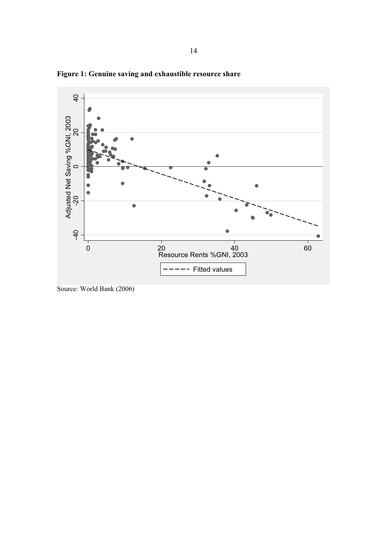

**Figure 1: Genuine saving and exhaustible resource share** 

Source: World Bank (2006)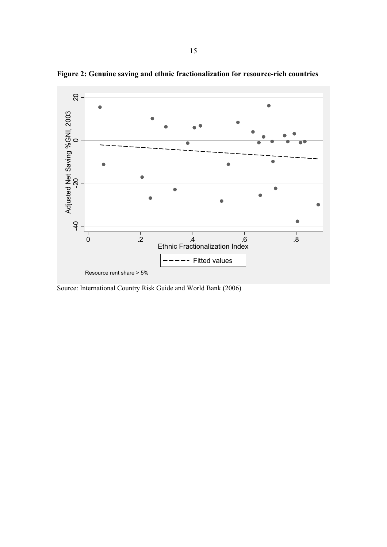

**Figure 2: Genuine saving and ethnic fractionalization for resource-rich countries** 

Source: International Country Risk Guide and World Bank (2006)